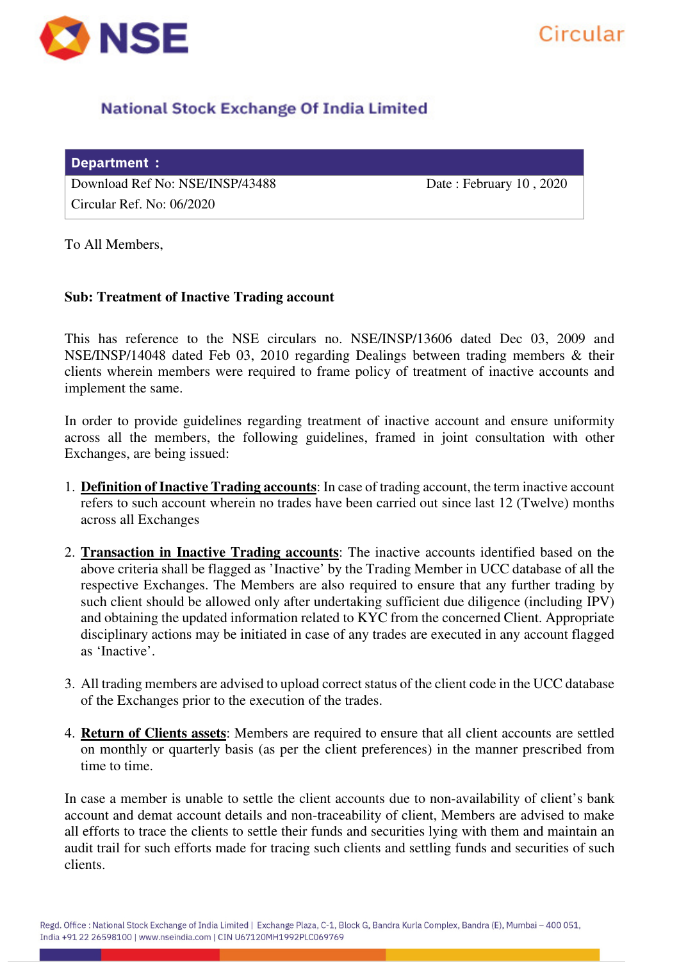

# **National Stock Exchange Of India Limited**

| Department :                    |                              |
|---------------------------------|------------------------------|
| Download Ref No: NSE/INSP/43488 | Date: February $10$ , $2020$ |
| Circular Ref. No: $06/2020$     |                              |

Circular

To All Members,

## **Sub: Treatment of Inactive Trading account**

This has reference to the NSE circulars no. NSE/INSP/13606 dated Dec 03, 2009 and NSE/INSP/14048 dated Feb 03, 2010 regarding Dealings between trading members & their clients wherein members were required to frame policy of treatment of inactive accounts and implement the same.

In order to provide guidelines regarding treatment of inactive account and ensure uniformity across all the members, the following guidelines, framed in joint consultation with other Exchanges, are being issued:

- 1. **Definition of Inactive Trading accounts**: In case of trading account, the term inactive account refers to such account wherein no trades have been carried out since last 12 (Twelve) months across all Exchanges
- 2. **Transaction in Inactive Trading accounts**: The inactive accounts identified based on the above criteria shall be flagged as 'Inactive' by the Trading Member in UCC database of all the respective Exchanges. The Members are also required to ensure that any further trading by such client should be allowed only after undertaking sufficient due diligence (including IPV) and obtaining the updated information related to KYC from the concerned Client. Appropriate disciplinary actions may be initiated in case of any trades are executed in any account flagged as 'Inactive'.
- 3. All trading members are advised to upload correct status of the client code in the UCC database of the Exchanges prior to the execution of the trades.
- 4. **Return of Clients assets**: Members are required to ensure that all client accounts are settled on monthly or quarterly basis (as per the client preferences) in the manner prescribed from time to time.

In case a member is unable to settle the client accounts due to non-availability of client's bank account and demat account details and non-traceability of client, Members are advised to make all efforts to trace the clients to settle their funds and securities lying with them and maintain an audit trail for such efforts made for tracing such clients and settling funds and securities of such clients.